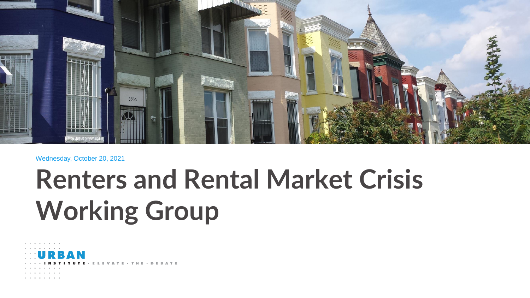

#### Wednesday, October 20, 2021

# **Renters and Rental Market Crisis Working Group**

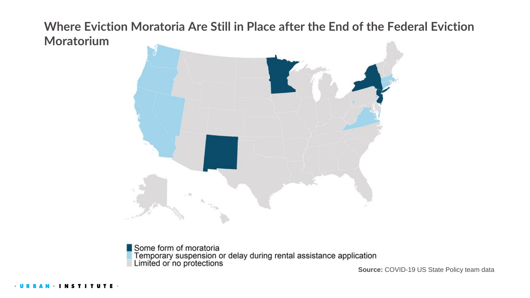**Where Eviction Moratoria Are Still in Place after the End of the Federal Eviction Moratorium**



Some form of moratoria **Temporary suspension or delay during rental assistance application<br>Limited or no protections source: COVID-19 US State Policy team data**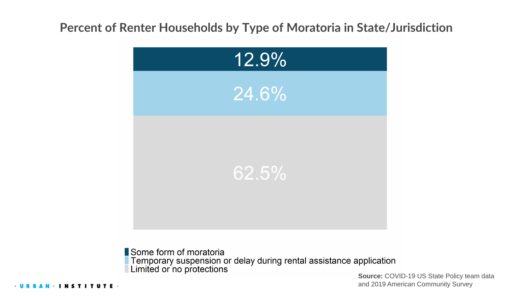### **Percent of Renter Households by Type of Moratoria in State/Jurisdiction**



Some form of moratoria **Temporary suspension or delay during rental assistance application<br>Limited or no protections<br>Source: COVID-19 US State Policy team data** 

and 2019 American Community Survey

**NSTITUTE**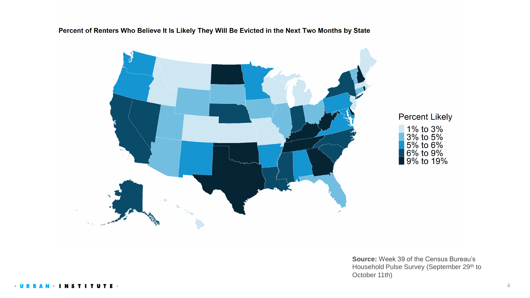Percent of Renters Who Believe It Is Likely They Will Be Evicted in the Next Two Months by State



# **Percent Likely** 1% to 3%<br>3% to 5%<br>5% to 6%<br>6% to 9%<br>9% to 19%

**Source:** Week 39 of the Census Bureau's Household Pulse Survey (September 29<sup>th</sup> to October 11th)

**INSTIT** UTE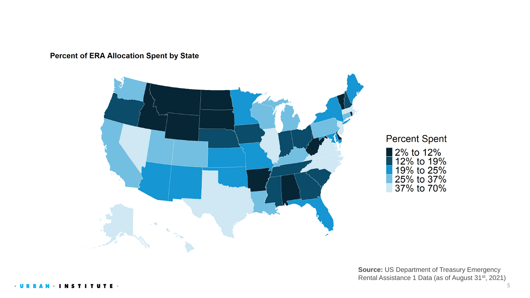**Percent of ERA Allocation Spent by State** 



#### **Percent Spent**

2% to 12%<br>12% to 19%<br>19% to 25%<br>25% to 37%<br>37% to 70%

**Source:** US Department of Treasury Emergency Rental Assistance 1 Data (as of August 31st, 2021)

- U R **INSTITUTE**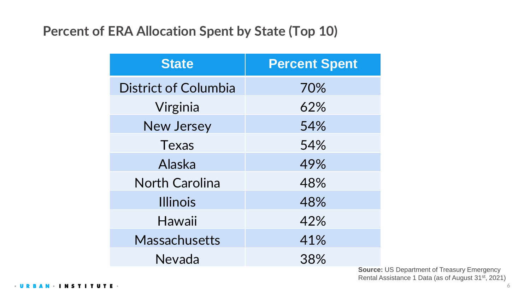# **Percent of ERA Allocation Spent by State (Top 10)**

| <b>State</b>                | <b>Percent Spent</b> |
|-----------------------------|----------------------|
| <b>District of Columbia</b> | 70%                  |
| Virginia                    | 62%                  |
| <b>New Jersey</b>           | 54%                  |
| <b>Texas</b>                | 54%                  |
| Alaska                      | 49%                  |
| <b>North Carolina</b>       | 48%                  |
| <b>Illinois</b>             | 48%                  |
| Hawaii                      | 42%                  |
| <b>Massachusetts</b>        | 41%                  |
| Nevada                      | 38%                  |

**Source:** US Department of Treasury Emergency Rental Assistance 1 Data (as of August 31st, 2021)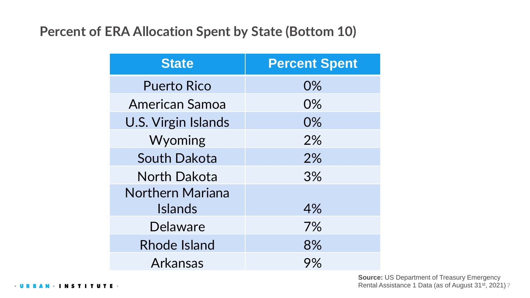# **Percent of ERA Allocation Spent by State (Bottom 10)**

| <b>State</b>               | <b>Percent Spent</b> |
|----------------------------|----------------------|
| <b>Puerto Rico</b>         | 0%                   |
| <b>American Samoa</b>      | 0%                   |
| <b>U.S. Virgin Islands</b> | 0%                   |
| Wyoming                    | 2%                   |
| <b>South Dakota</b>        | 2%                   |
| <b>North Dakota</b>        | 3%                   |
| <b>Northern Mariana</b>    |                      |
| <b>Islands</b>             | 4%                   |
| <b>Delaware</b>            | 7%                   |
| <b>Rhode Island</b>        | 8%                   |
| <b>Arkansas</b>            | 9%                   |

Rental Assistance 1 Data (as of August 31<sup>st</sup>, 2021) 7 **Source:** US Department of Treasury Emergency

 $-$  U R  $\cdot$  INSTITUTE  $\cdot$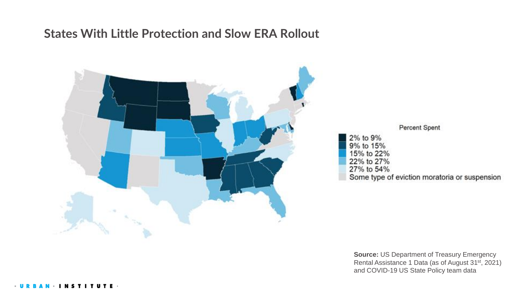#### **States With Little Protection and Slow ERA Rollout**



Percent Spent

2% to 9% 9% to 15% 15% to 22% 22% to 27% 27% to 54%

Some type of eviction moratoria or suspension

**Source:** US Department of Treasury Emergency Rental Assistance 1 Data (as of August 31st, 2021) and COVID-19 US State Policy team data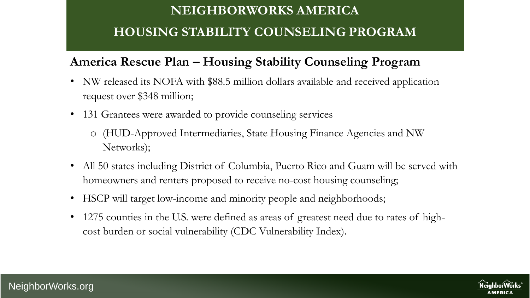# **NEIGHBORWORKS AMERICA HOUSING STABILITY COUNSELING PROGRAM**

# **America Rescue Plan – Housing Stability Counseling Program**

- NW released its NOFA with \$88.5 million dollars available and received application request over \$348 million;
- 131 Grantees were awarded to provide counseling services
	- o (HUD-Approved Intermediaries, State Housing Finance Agencies and NW Networks);
- All 50 states including District of Columbia, Puerto Rico and Guam will be served with homeowners and renters proposed to receive no-cost housing counseling;
- HSCP will target low-income and minority people and neighborhoods;
- 1275 counties in the U.S. were defined as areas of greatest need due to rates of highcost burden or social vulnerability (CDC Vulnerability Index).

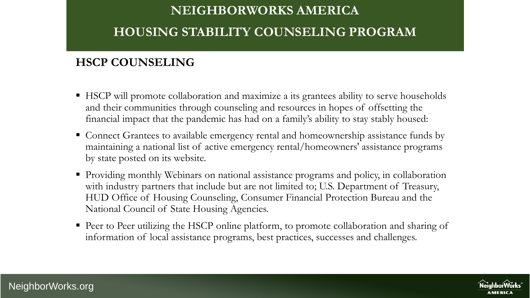# **NEIGHBORWORKS AMERICA HOUSING STABILITY COUNSELING PROGRAM**

### **HSCP COUNSELING**

- HSCP will promote collaboration and maximize a its grantees ability to serve households and their communities through counseling and resources in hopes of offsetting the financial impact that the pandemic has had on a family's ability to stay stably housed:
- Connect Grantees to available emergency rental and homeownership assistance funds by maintaining a national list of active emergency rental/homeowners' assistance programs by state posted on its website.
- **Providing monthly Webinars on national assistance programs and policy, in collaboration** with industry partners that include but are not limited to; U.S. Department of Treasury, HUD Office of Housing Counseling, Consumer Financial Protection Bureau and the National Council of State Housing Agencies.
- Peer to Peer utilizing the HSCP online platform, to promote collaboration and sharing of information of local assistance programs, best practices, successes and challenges.

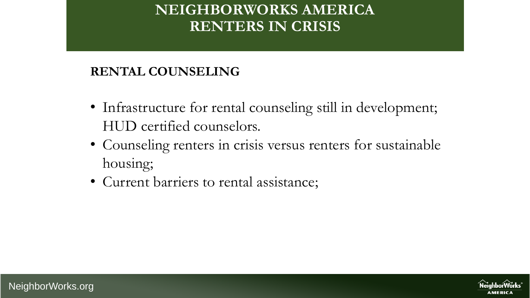# **NEIGHBORWORKS AMERICA RENTERS IN CRISIS**

# **RENTAL COUNSELING**

- Infrastructure for rental counseling still in development; HUD certified counselors.
- Counseling renters in crisis versus renters for sustainable housing;
- Current barriers to rental assistance;